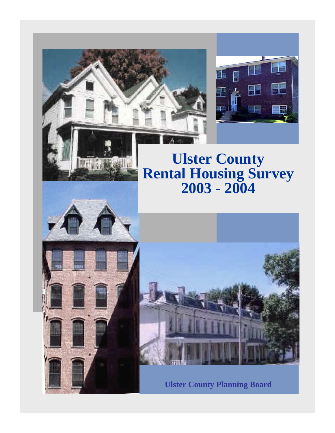



# **Ulster County Rental Housing Survey 2003 - 2004**



**Lu**galia



**Ulster County Planning Board**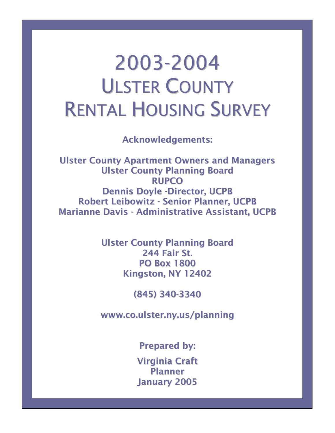# 2003-2004 ULSTER COUNTY RENTAL HOUSING SURVEY

Acknowledgements:

Ulster County Apartment Owners and Managers Ulster County Planning Board RUPCO Dennis Doyle -Director, UCPB Robert Leibowitz - Senior Planner, UCPB Marianne Davis - Administrative Assistant, UCPB

> Ulster County Planning Board 244 Fair St. PO Box 1800 Kingston, NY 12402

> > (845) 340-3340

www.co.ulster.ny.us/planning

Prepared by:

Virginia Craft Planner January 2005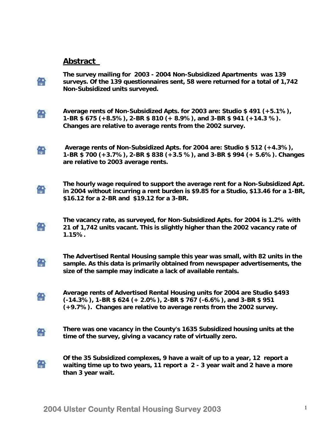#### **Abstract**

**The survey mailing for 2003 - 2004 Non-Subsidized Apartments was 139 surveys. Of the 139 questionnaires sent, 58 were returned for a total of 1,742 Non-Subsidized units surveyed.**



儒

**Average rents of Non-Subsidized Apts. for 2003 are: Studio \$ 491 (+5.1%), 1-BR \$ 675 (+8.5%), 2-BR \$ 810 (+ 8.9%), and 3-BR \$ 941 (+14.3 %). Changes are relative to average rents from the 2002 survey.** 

 **Average rents of Non-Subsidized Apts. for 2004 are: Studio \$ 512 (+4.3%),**  龠 **1-BR \$ 700 (+3.7%), 2-BR \$ 838 (+3.5 %), and 3-BR \$ 994 (+ 5.6%). Changes are relative to 2003 average rents.** 

**The hourly wage required to support the average rent for a Non-Subsidized Apt. Cal in 2004 without incurring a rent burden is \$9.85 for a Studio, \$13.46 for a 1-BR, \$16.12 for a 2-BR and \$19.12 for a 3-BR.** 

**The vacancy rate, as surveyed, for Non-Subsidized Apts. for 2004 is 1.2% with**  龠 **21 of 1,742 units vacant. This is slightly higher than the 2002 vacancy rate of 1.15%.** 

**The Advertised Rental Housing sample this year was small, with 82 units in the**  爵 **sample. As this data is primarily obtained from newspaper advertisements, the size of the sample may indicate a lack of available rentals.** 

**Average rents of Advertised Rental Housing units for 2004 are Studio \$493**  龠 **(-14.3%), 1-BR \$ 624 (+ 2.0%), 2-BR \$ 767 (-6.6%), and 3-BR \$ 951 (+9.7%). Changes are relative to average rents from the 2002 survey.** 

**There was one vacancy in the County's 1635 Subsidized housing units at the**  龠 **time of the survey, giving a vacancy rate of virtually zero.** 

**Of the 35 Subsidized complexes, 9 have a wait of up to a year, 12 report a**  龠 **waiting time up to two years, 11 report a 2 - 3 year wait and 2 have a more than 3 year wait.**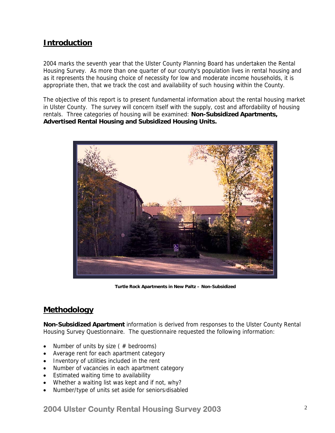# **Introduction**

2004 marks the seventh year that the Ulster County Planning Board has undertaken the Rental Housing Survey. As more than one quarter of our county's population lives in rental housing and as it represents the housing choice of necessity for low and moderate income households, it is appropriate then, that we track the cost and availability of such housing within the County.

The objective of this report is to present fundamental information about the rental housing market in Ulster County. The survey will concern itself with the supply, cost and affordability of housing rentals. Three categories of housing will be examined: **Non-Subsidized Apartments, Advertised Rental Housing and Subsidized Housing Units.** 



**Turtle Rock Apartments in New Paltz – Non-Subsidized** 

### **Methodology**

**Non-Subsidized Apartment** information is derived from responses to the Ulster County Rental Housing Survey Questionnaire. The questionnaire requested the following information:

- Number of units by size ( $#$  bedrooms)
- Average rent for each apartment category
- Inventory of utilities included in the rent
- Number of vacancies in each apartment category
- Estimated waiting time to availability
- Whether a waiting list was kept and if not, why?
- Number/type of units set aside for seniors/disabled

#### **2004 Ulster County Rental Housing Survey 2003** <sup>2</sup>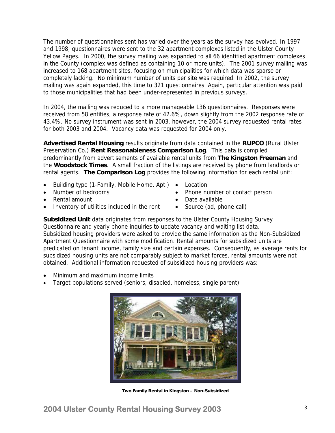The number of questionnaires sent has varied over the years as the survey has evolved. In 1997 and 1998, questionnaires were sent to the 32 apartment complexes listed in the Ulster County Yellow Pages. In 2000, the survey mailing was expanded to all 66 identified apartment complexes in the County (complex was defined as containing 10 or more units). The 2001 survey mailing was increased to 168 apartment sites, focusing on municipalities for which data was sparse or completely lacking. No minimum number of units per site was required. In 2002, the survey mailing was again expanded, this time to 321 questionnaires. Again, particular attention was paid to those municipalities that had been under-represented in previous surveys.

In 2004, the mailing was reduced to a more manageable 136 questionnaires. Responses were received from 58 entities, a response rate of 42.6%, down slightly from the 2002 response rate of 43.4%. No survey instrument was sent in 2003, however, the 2004 survey requested rental rates for both 2003 and 2004. Vacancy data was requested for 2004 only.

**Advertised Rental Housing** results originate from data contained in the **RUPCO** (Rural Ulster Preservation Co.) **Rent Reasonableness Comparison Log**. This data is compiled predominantly from advertisements of available rental units from **The Kingston Freeman** and the **Woodstock Times**. A small fraction of the listings are received by phone from landlords or rental agents. **The Comparison Log** provides the following information for each rental unit:

- Building type (1-Family, Mobile Home, Apt.)
- Number of bedrooms
- Rental amount
- Inventory of utilities included in the rent
- **Location**
- Phone number of contact person
- Date available
- Source (ad, phone call)

**Subsidized Unit** data originates from responses to the Ulster County Housing Survey Questionnaire and yearly phone inquiries to update vacancy and waiting list data. Subsidized housing providers were asked to provide the same information as the Non-Subsidized Apartment Questionnaire with some modification. Rental amounts for subsidized units are predicated on tenant income, family size and certain expenses. Consequently, as average rents for subsidized housing units are not comparably subject to market forces, rental amounts were not obtained. Additional information requested of subsidized housing providers was:

- Minimum and maximum income limits
- Target populations served (seniors, disabled, homeless, single parent)



**Two Family Rental in Kingston – Non-Subsidized**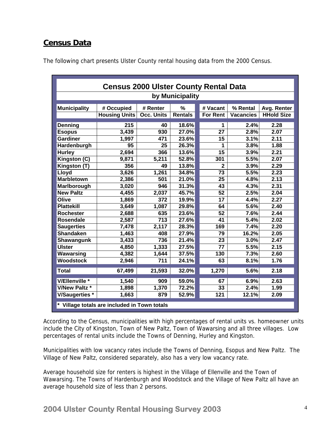# **Census Data**

| <b>Census 2000 Ulster County Rental Data</b>                   |                                                    |            |                |                 |                  |                   |  |  |  |  |  |  |  |  |  |
|----------------------------------------------------------------|----------------------------------------------------|------------|----------------|-----------------|------------------|-------------------|--|--|--|--|--|--|--|--|--|
| by Municipality                                                |                                                    |            |                |                 |                  |                   |  |  |  |  |  |  |  |  |  |
| <b>Municipality</b>                                            | # Occupied                                         | # Renter   | $\frac{0}{2}$  | # Vacant        | % Rental         | Avg. Renter       |  |  |  |  |  |  |  |  |  |
|                                                                | <b>Housing Units</b>                               | Occ. Units | <b>Rentals</b> | <b>For Rent</b> | <b>Vacancies</b> | <b>HHold Size</b> |  |  |  |  |  |  |  |  |  |
| Denning                                                        | 215                                                | 40         | 18.6%          | 1               | 2.4%             | 2.28              |  |  |  |  |  |  |  |  |  |
| <b>Esopus</b>                                                  | 3,439                                              | 930        | 27.0%          | 27              | 2.8%             | 2.07              |  |  |  |  |  |  |  |  |  |
| <b>Gardiner</b>                                                | 1,997                                              | 471        | 23.6%          | 15              | 3.1%             | 2.11              |  |  |  |  |  |  |  |  |  |
| Hardenburgh                                                    | 95                                                 | 25         | 26.3%          | 1               | 3.8%             | 1.88              |  |  |  |  |  |  |  |  |  |
| 366<br>15<br>2,694<br>13.6%<br>3.9%<br>2.21<br><b>Hurley</b>   |                                                    |            |                |                 |                  |                   |  |  |  |  |  |  |  |  |  |
| Kingston (C)<br>52.8%<br>301<br>5.5%<br>2.07<br>9,871<br>5,211 |                                                    |            |                |                 |                  |                   |  |  |  |  |  |  |  |  |  |
| Kingston (T)                                                   | 356<br>49<br>13.8%<br>3.9%<br>2.29<br>$\mathbf{2}$ |            |                |                 |                  |                   |  |  |  |  |  |  |  |  |  |
| Lloyd                                                          | 1,261<br>73<br>5.5%<br>2.23<br>3,626<br>34.8%      |            |                |                 |                  |                   |  |  |  |  |  |  |  |  |  |
| <b>Marbletown</b>                                              | 2,386                                              | 501        | 21.0%          | 25              | 4.8%             | 2.13              |  |  |  |  |  |  |  |  |  |
| Marlborough                                                    | 3,020                                              | 946        | 31.3%          | 43              | 4.3%             | 2.31              |  |  |  |  |  |  |  |  |  |
| <b>New Paltz</b>                                               | 4,455                                              | 2,037      | 45.7%          | 52              | 2.5%             | 2.04              |  |  |  |  |  |  |  |  |  |
| Olive                                                          | 1,869                                              | 372        | 19.9%          | 17              | 4.4%             | 2.27              |  |  |  |  |  |  |  |  |  |
| <b>Plattekill</b>                                              | 3,649                                              | 1,087      | 29.8%          | 64              | 5.6%             | 2.40              |  |  |  |  |  |  |  |  |  |
| <b>Rochester</b>                                               | 2,688                                              | 635        | 23.6%          | 52              | 7.6%             | 2.44              |  |  |  |  |  |  |  |  |  |
| <b>Rosendale</b>                                               | 2,587                                              | 713        | 27.6%          | 41              | 5.4%             | 2.02              |  |  |  |  |  |  |  |  |  |
| <b>Saugerties</b>                                              | 7,478                                              | 2,117      | 28.3%          | 169             | 7.4%             | 2.20              |  |  |  |  |  |  |  |  |  |
| <b>Shandaken</b>                                               | 1,463                                              | 408        | 27.9%          | 79              | 16.2%            | 2.05              |  |  |  |  |  |  |  |  |  |
| <b>Shawangunk</b>                                              | 3,433                                              | 736        | 21.4%          | 23              | 3.0%             | 2.47              |  |  |  |  |  |  |  |  |  |
| <b>Ulster</b>                                                  | 4,850                                              | 1,333      | 27.5%          | 77              | 5.5%             | 2.15              |  |  |  |  |  |  |  |  |  |
| Wawarsing                                                      | 4,382                                              | 1,644      | 37.5%          | 130             | 7.3%             | 2.60              |  |  |  |  |  |  |  |  |  |
| <b>Woodstock</b>                                               | 2,946                                              | 711        | 24.1%          | 63              | 8.1%             | 1.76              |  |  |  |  |  |  |  |  |  |
| <b>Total</b>                                                   | 67,499                                             | 21,593     | 32.0%          | 1,270           | 5.6%             | 2.18              |  |  |  |  |  |  |  |  |  |
| V/Ellenville *                                                 | 1,540                                              | 909        | 59.0%          | 67              | 6.9%             | 2.63              |  |  |  |  |  |  |  |  |  |
| <b>V/New Paltz *</b>                                           | 1,898                                              | 1,370      | 72.2%          | 33              | 2.4%             | 1.99              |  |  |  |  |  |  |  |  |  |
| <b>V/Saugerties</b> *                                          | 1,663<br>121<br>12.1%<br>2.09<br>879<br>52.9%      |            |                |                 |                  |                   |  |  |  |  |  |  |  |  |  |
|                                                                | * Village totals are included in Town totals       |            |                |                 |                  |                   |  |  |  |  |  |  |  |  |  |

The following chart presents Ulster County rental housing data from the 2000 Census.

According to the Census, municipalities with high percentages of rental units vs. homeowner units include the City of Kingston, Town of New Paltz, Town of Wawarsing and all three villages. Low percentages of rental units include the Towns of Denning, Hurley and Kingston.

Municipalities with low vacancy rates include the Towns of Denning, Esopus and New Paltz. The Village of New Paltz, considered separately, also has a very low vacancy rate.

Average household size for renters is highest in the Village of Ellenville and the Town of Wawarsing. The Towns of Hardenburgh and Woodstock and the Village of New Paltz all have an average household size of less than 2 persons.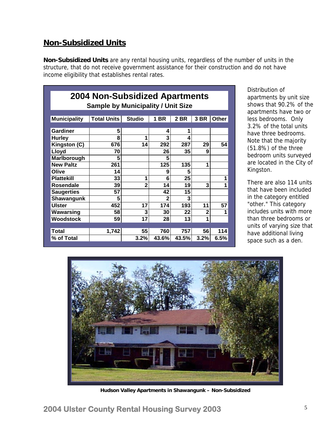## **Non-Subsidized Units**

**Non-Subsidized Units** are any rental housing units, regardless of the number of units in the structure, that do not receive government assistance for their construction and do not have income eligibility that establishes rental rates.

| <b>2004 Non-Subsidized Apartments</b><br><b>Sample by Municipality / Unit Size</b> |                    |                |       |       |      |       |  |  |  |  |  |
|------------------------------------------------------------------------------------|--------------------|----------------|-------|-------|------|-------|--|--|--|--|--|
| <b>Municipality</b>                                                                | <b>Total Units</b> | <b>Studio</b>  | 1 BR  | 2 BR  | 3 BR | Other |  |  |  |  |  |
|                                                                                    |                    |                |       |       |      |       |  |  |  |  |  |
| Gardiner                                                                           | 5                  |                | 4     | 1     |      |       |  |  |  |  |  |
| <b>Hurley</b>                                                                      | 8                  | 1              | 3     | 4     |      |       |  |  |  |  |  |
| Kingston (C)                                                                       | 676                | 14             | 292   | 287   | 29   | 54    |  |  |  |  |  |
| Lloyd                                                                              | 70                 |                | 26    | 35    | 9    |       |  |  |  |  |  |
| Marlborough                                                                        | 5                  |                | 5     |       |      |       |  |  |  |  |  |
| <b>New Paltz</b>                                                                   | 261                |                | 125   | 135   | 1    |       |  |  |  |  |  |
| Olive                                                                              | 14                 |                | 9     | 5     |      |       |  |  |  |  |  |
| <b>Plattekill</b>                                                                  | 33                 | 1              | 6     | 25    |      | 1     |  |  |  |  |  |
| Rosendale                                                                          | 39                 | $\overline{2}$ | 14    | 19    | 3    | 1     |  |  |  |  |  |
| <b>Saugerties</b>                                                                  | 57                 |                | 42    | 15    |      |       |  |  |  |  |  |
| <b>Shawangunk</b>                                                                  | 5                  |                | 2     | 3     |      |       |  |  |  |  |  |
| <b>Ulster</b>                                                                      | 452                | 17             | 174   | 193   | 11   | 57    |  |  |  |  |  |
| Wawarsing                                                                          | 58                 | 3              | 30    | 22    | 2    | 1     |  |  |  |  |  |
| Woodstock                                                                          | 59                 | 17             | 28    | 13    | 1    |       |  |  |  |  |  |
|                                                                                    |                    |                |       |       |      |       |  |  |  |  |  |
| <b>Total</b>                                                                       | 1,742              | 55             | 760   | 757   | 56   | 114   |  |  |  |  |  |
| % of Total                                                                         |                    | 3.2%           | 43.6% | 43.5% | 3.2% | 6.5%  |  |  |  |  |  |

Distribution of apartments by unit size shows that 90.2% of the apartments have two or less bedrooms. Only 3.2% of the total units have three bedrooms. Note that the majority (51.8%) of the three bedroom units surveyed are located in the City of Kingston.

There are also 114 units that have been included in the category entitled "other." This category includes units with more than three bedrooms or units of varying size that have additional living space such as a den.



**Hudson Valley Apartments in Shawangunk – Non-Subsidized**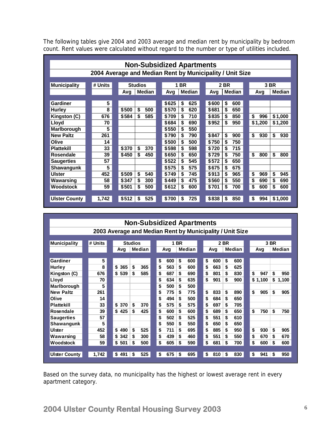The following tables give 2004 and 2003 average and median rent by municipality by bedroom count. Rent values were calculated without regard to the number or type of utilities included.

| <b>Municipality</b> |       |           |                |       |       |                   |                                                                                                                 |                                           |            |                      |           |                                                          |  |  |
|---------------------|-------|-----------|----------------|-------|-------|-------------------|-----------------------------------------------------------------------------------------------------------------|-------------------------------------------|------------|----------------------|-----------|----------------------------------------------------------|--|--|
| # Units             |       |           |                |       |       |                   |                                                                                                                 |                                           |            |                      |           | 3 BR                                                     |  |  |
|                     | Avg   | Median    |                | Avg   |       |                   | Avg                                                                                                             |                                           |            |                      | Avg       | <b>Median</b>                                            |  |  |
|                     |       |           |                |       |       |                   |                                                                                                                 |                                           |            |                      |           |                                                          |  |  |
|                     |       |           |                |       |       |                   |                                                                                                                 |                                           |            |                      |           |                                                          |  |  |
| 8                   | \$500 | \$<br>500 |                | \$570 | \$    |                   | \$681                                                                                                           | \$                                        | 650        |                      |           |                                                          |  |  |
| 676                 | \$584 | \$<br>585 |                | \$709 | \$    |                   | \$835                                                                                                           | \$                                        | 850        |                      | \$<br>996 | \$1,000                                                  |  |  |
| 70                  |       |           |                | \$684 | \$    |                   | \$952                                                                                                           | \$                                        | 950        |                      | \$1,200   | \$1,200                                                  |  |  |
| 5                   |       |           |                | \$550 | \$    |                   |                                                                                                                 |                                           |            |                      |           |                                                          |  |  |
| 261                 |       |           |                | \$790 | \$    |                   | \$847                                                                                                           | \$                                        | 900        |                      | \$<br>930 | \$<br>930                                                |  |  |
| 14                  |       |           |                | \$500 | \$    |                   | \$750                                                                                                           | \$                                        | 750        |                      |           |                                                          |  |  |
| 33                  | \$370 | \$<br>370 |                | \$598 | \$    |                   | \$720                                                                                                           | \$                                        | 715        |                      |           |                                                          |  |  |
| 39                  | \$450 | \$<br>450 |                | \$650 | \$    |                   | \$729                                                                                                           | \$                                        | 750        |                      | \$<br>800 | \$<br>800                                                |  |  |
| 57                  |       |           |                | \$522 | \$    |                   | \$572                                                                                                           | \$                                        | 650        |                      |           |                                                          |  |  |
| 5                   |       |           |                | \$575 | \$    |                   | \$675                                                                                                           | \$                                        | 675        |                      |           |                                                          |  |  |
| 452                 | \$509 | \$<br>540 |                | \$749 | \$    |                   | \$913                                                                                                           | \$                                        | 965        |                      | \$<br>969 | \$<br>945                                                |  |  |
| 58                  | \$347 | \$<br>300 |                | \$449 | \$    |                   | \$560                                                                                                           | \$                                        | 550        |                      | \$<br>690 | \$<br>690                                                |  |  |
| 59                  |       | \$<br>500 |                | \$612 | \$    |                   | \$701                                                                                                           | \$                                        | 700        |                      | \$<br>600 | \$<br>600                                                |  |  |
|                     |       |           |                |       |       |                   |                                                                                                                 |                                           |            |                      |           |                                                          |  |  |
| 1,742               | \$512 | \$<br>525 |                | \$700 | \$    |                   | \$838                                                                                                           | \$                                        | 850        |                      | \$<br>994 | \$1,000                                                  |  |  |
|                     | 5     | \$501     | <b>Studios</b> |       | \$625 | <b>1 BR</b><br>\$ | Median<br>625<br>620<br>710<br>690<br>550<br>790<br>500<br>598<br>650<br>545<br>575<br>745<br>475<br>600<br>725 | <b>Non-Subsidized Apartments</b><br>\$600 | 2 BR<br>\$ | <b>Median</b><br>600 |           | 2004 Average and Median Rent by Municipality / Unit Size |  |  |

|                                                          |         | <b>Non-Subsidized Apartments</b> |           |    |     |               |  |           |      |        |  |           |               |  |  |
|----------------------------------------------------------|---------|----------------------------------|-----------|----|-----|---------------|--|-----------|------|--------|--|-----------|---------------|--|--|
| 2003 Average and Median Rent by Municipality / Unit Size |         |                                  |           |    |     |               |  |           |      |        |  |           |               |  |  |
|                                                          |         |                                  |           |    |     |               |  |           |      |        |  |           |               |  |  |
| <b>Municipality</b>                                      | # Units | 1 BR<br><b>Studios</b>           |           |    |     | 2 BR          |  |           | 3 BR |        |  |           |               |  |  |
|                                                          |         | Avg                              | Median    |    | Avg | <b>Median</b> |  | Avg       |      | Median |  | Avg       | <b>Median</b> |  |  |
|                                                          |         |                                  |           |    |     |               |  |           |      |        |  |           |               |  |  |
| Gardiner                                                 | 5       |                                  |           | \$ | 600 | \$<br>600     |  | \$<br>600 | \$   | 600    |  |           |               |  |  |
| Hurley                                                   | 8       | \$<br>365                        | \$<br>365 | \$ | 563 | \$<br>600     |  | \$<br>663 | \$   | 625    |  |           |               |  |  |
| Kingston (C)                                             | 676     | \$<br>539                        | \$<br>585 | \$ | 687 | \$<br>690     |  | \$<br>801 | \$   | 830    |  | \$<br>947 | \$<br>950     |  |  |
| Lloyd                                                    | 70      |                                  |           | \$ | 634 | \$<br>635     |  | \$<br>901 | \$   | 900    |  | \$1,100   | \$<br>1,100   |  |  |
| Marlborough                                              | 5       |                                  |           | \$ | 500 | \$<br>500     |  |           |      |        |  |           |               |  |  |
| <b>New Paltz</b>                                         | 261     |                                  |           | \$ | 775 | \$<br>775     |  | \$<br>833 | \$   | 890    |  | \$<br>905 | \$<br>905     |  |  |
| Olive                                                    | 14      |                                  |           | \$ | 494 | \$<br>500     |  | \$<br>684 | \$   | 650    |  |           |               |  |  |
| <b>Plattekill</b>                                        | 33      | \$<br>370                        | \$<br>370 | \$ | 575 | \$<br>575     |  | \$<br>697 | \$   | 705    |  |           |               |  |  |
| Rosendale                                                | 39      | \$<br>425                        | \$<br>425 | \$ | 600 | \$<br>600     |  | \$<br>689 | \$   | 650    |  | \$<br>750 | \$<br>750     |  |  |
| <b>Saugerties</b>                                        | 57      |                                  |           | \$ | 502 | \$<br>525     |  | \$<br>551 | \$   | 610    |  |           |               |  |  |
| Shawangunk                                               | 5       |                                  |           | \$ | 550 | \$<br>550     |  | \$<br>650 | \$   | 650    |  |           |               |  |  |
| Ulster                                                   | 452     | \$<br>490                        | \$<br>525 | \$ | 711 | \$<br>695     |  | \$<br>885 | \$   | 950    |  | \$<br>930 | \$<br>905     |  |  |
| Wawarsing                                                | 58      | \$<br>342                        | \$<br>300 | \$ | 439 | \$<br>460     |  | \$<br>551 | \$   | 550    |  | \$<br>670 | \$<br>670     |  |  |
| Woodstock                                                | 59      | \$<br>501                        | \$<br>500 | \$ | 605 | \$<br>590     |  | \$<br>681 | \$   | 700    |  | \$<br>600 | \$<br>600     |  |  |
|                                                          |         |                                  |           |    |     |               |  |           |      |        |  |           |               |  |  |
| <b>Ulster County</b>                                     | 1,742   | \$<br>491                        | 525<br>\$ | \$ | 675 | 695<br>\$     |  | \$<br>810 | \$   | 830    |  | \$<br>941 | \$<br>950     |  |  |

Based on the survey data, no municipality has the highest or lowest average rent in every apartment category.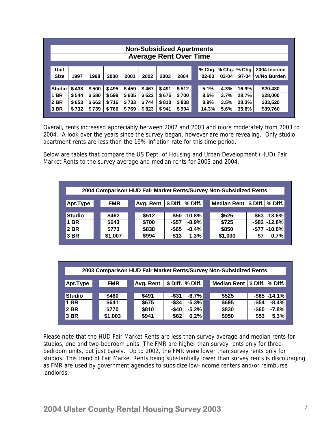|               | <b>Non-Subsidized Apartments</b><br><b>Average Rent Over Time</b>                                      |       |       |       |       |       |       |  |       |      |       |          |  |  |  |
|---------------|--------------------------------------------------------------------------------------------------------|-------|-------|-------|-------|-------|-------|--|-------|------|-------|----------|--|--|--|
|               |                                                                                                        |       |       |       |       |       |       |  |       |      |       |          |  |  |  |
| Unit          | % Chg.  % Chg.  % Chg. <br>2004 Income                                                                 |       |       |       |       |       |       |  |       |      |       |          |  |  |  |
| <b>Size</b>   | w/No Burden<br>1997<br>1998<br>2000<br>2001<br>2002<br>2003<br>2004<br>$97 - 04$<br>$02 - 03$<br>03-04 |       |       |       |       |       |       |  |       |      |       |          |  |  |  |
|               |                                                                                                        |       |       |       |       |       |       |  |       |      |       |          |  |  |  |
| <b>Studio</b> | \$438                                                                                                  | \$500 | \$495 | \$459 | \$467 | \$491 | \$512 |  | 5.1%  | 4.3% | 16.9% | \$20,480 |  |  |  |
| <b>BR</b>     | \$544                                                                                                  | \$580 | \$599 | \$605 | \$622 | \$675 | \$700 |  | 8.5%  | 3.7% | 28.7% | \$28,000 |  |  |  |
| 2 BR          | \$653                                                                                                  | \$662 | \$716 | \$733 | \$744 | \$810 | \$838 |  | 8.9%  | 3.5% | 28.3% | \$33,520 |  |  |  |
| 3 BR          | \$732                                                                                                  | \$739 | \$766 | \$769 | \$823 | \$941 | \$994 |  | 14.3% | 5.6% | 35.8% | \$39,760 |  |  |  |
|               |                                                                                                        |       |       |       |       |       |       |  |       |      |       |          |  |  |  |

Overall, rents increased appreciably between 2002 and 2003 and more moderately from 2003 to 2004. A look over the years since the survey began, however are more revealing. Only studio apartment rents are less than the 19% inflation rate for this time period.

Below are tables that compare the US Dept. of Housing and Urban Development (HUD) Fair Market Rents to the survey average and median rents for 2003 and 2004.

| 2004 Comparison HUD Fair Market Rents/Survey Non-Subsidized Rents |  |            |  |               |          |                    |  |                                  |     |                    |  |
|-------------------------------------------------------------------|--|------------|--|---------------|----------|--------------------|--|----------------------------------|-----|--------------------|--|
|                                                                   |  |            |  |               |          |                    |  |                                  |     |                    |  |
| Apt.Type                                                          |  | <b>FMR</b> |  | Avg. Rent $ $ |          | \$ Diff.   % Diff. |  | Median Rent   \$ Diff.   % Diff. |     |                    |  |
|                                                                   |  |            |  |               |          |                    |  |                                  |     |                    |  |
| <b>Studio</b>                                                     |  | \$462      |  | \$512         |          | $-$ \$50 $-$ 10.8% |  | \$525                            |     | $-$ \$63 $-$ 13.6% |  |
| <b>1 BR</b>                                                       |  | \$643      |  | \$700         | $-$ \$57 | $-8.9\%$           |  | \$725                            |     | $-$ \$82 $-$ 12.8% |  |
| <b>2 BR</b>                                                       |  | \$773      |  | \$838         | $-$ \$65 | $-8.4%$            |  | \$850                            |     | $-$ \$77 $-$ 10.0% |  |
| 3 BR                                                              |  | \$1,007    |  | \$994         | \$13     | 1.3%               |  | \$1,000                          | \$7 | 0.7%               |  |
|                                                                   |  |            |  |               |          |                    |  |                                  |     |                    |  |

| 2003 Comparison HUD Fair Market Rents/Survey Non-Subsidized Rents |  |            |  |                  |          |                   |  |                                  |          |                    |  |
|-------------------------------------------------------------------|--|------------|--|------------------|----------|-------------------|--|----------------------------------|----------|--------------------|--|
| Apt.Type                                                          |  | <b>FMR</b> |  | <b>Avg. Rent</b> |          | $$Diff. \%$ Diff. |  | Median Rent   \$ Diff.   % Diff. |          |                    |  |
| <b>Studio</b>                                                     |  | \$460      |  | \$491            | $-$ \$31 | $-6.7%$           |  | \$525                            |          | $-$ \$65 $-$ 14.1% |  |
| 1 BR                                                              |  | \$641      |  | \$675            | $-$ \$34 | $-5.3%$           |  | \$695                            | $-$ \$54 | $-8.4%$            |  |
| 2 BR                                                              |  | \$770      |  | \$810            | -\$40    | $-5.2%$           |  | \$830                            | $-$ \$60 | $-7.8%$            |  |
| 3 BR                                                              |  | \$1,003    |  | \$941            | \$62     | 6.2%              |  | \$950                            | \$53     | 5.3%               |  |

Please note that the HUD Fair Market Rents are less than survey average and median rents for studios, one and two-bedroom units. The FMR are higher than survey rents only for threebedroom units, but just barely. Up to 2002, the FMR were lower than survey rents only for studios. This trend of Fair Market Rents being substantially lower than survey rents is discouraging as FMR are used by government agencies to subsidize low-income renters and/or reimburse landlords.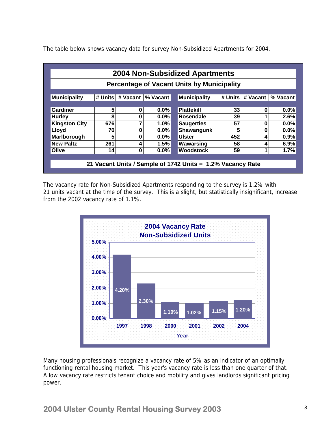The table below shows vacancy data for survey Non-Subsidized Apartments for 2004.

|                                                                                                           | <b>2004 Non-Subsidized Apartments</b>        |   |         |                                                            |     |   |         |  |  |  |  |  |  |
|-----------------------------------------------------------------------------------------------------------|----------------------------------------------|---|---------|------------------------------------------------------------|-----|---|---------|--|--|--|--|--|--|
| <b>Percentage of Vacant Units by Municipality</b>                                                         |                                              |   |         |                                                            |     |   |         |  |  |  |  |  |  |
|                                                                                                           |                                              |   |         |                                                            |     |   |         |  |  |  |  |  |  |
| <b>Municipality</b><br># Units<br>% Vacant<br>Municipality<br># Units<br># Vacant<br>% Vacant<br># Vacant |                                              |   |         |                                                            |     |   |         |  |  |  |  |  |  |
|                                                                                                           |                                              |   |         |                                                            |     |   |         |  |  |  |  |  |  |
| 5<br>Gardiner<br>$0.0\%$<br><b>Plattekill</b><br>$0.0\%$<br>0<br>33<br>0                                  |                                              |   |         |                                                            |     |   |         |  |  |  |  |  |  |
| <b>Hurley</b>                                                                                             | 8<br>39<br>0<br>$0.0\%$<br>2.6%<br>Rosendale |   |         |                                                            |     |   |         |  |  |  |  |  |  |
| <b>Kingston City</b>                                                                                      | 676                                          | 7 | 1.0%    | <b>Saugerties</b>                                          | 57  | 0 | 0.0%    |  |  |  |  |  |  |
| Lloyd                                                                                                     | 70                                           | 0 | $0.0\%$ | Shawangunk                                                 | 5   | 0 | $0.0\%$ |  |  |  |  |  |  |
| Marlborough                                                                                               | 5                                            | 0 | $0.0\%$ | <b>Ulster</b>                                              | 452 | 4 | 0.9%    |  |  |  |  |  |  |
| <b>New Paltz</b>                                                                                          | 261                                          | 4 | 1.5%    | Wawarsing                                                  | 58  | 4 | 6.9%    |  |  |  |  |  |  |
| Olive                                                                                                     | 14                                           | 0 | $0.0\%$ | <b>Woodstock</b>                                           | 59  | 1 | 1.7%    |  |  |  |  |  |  |
|                                                                                                           |                                              |   |         |                                                            |     |   |         |  |  |  |  |  |  |
|                                                                                                           |                                              |   |         | 21 Vacant Units / Sample of 1742 Units = 1.2% Vacancy Rate |     |   |         |  |  |  |  |  |  |
|                                                                                                           |                                              |   |         |                                                            |     |   |         |  |  |  |  |  |  |

The vacancy rate for Non-Subsidized Apartments responding to the survey is 1.2% with 21 units vacant at the time of the survey. This is a slight, but statistically insignificant, increase from the 2002 vacancy rate of 1.1%.



Many housing professionals recognize a vacancy rate of 5% as an indicator of an optimally functioning rental housing market. This year's vacancy rate is less than one quarter of that. A low vacancy rate restricts tenant choice and mobility and gives landlords significant pricing power.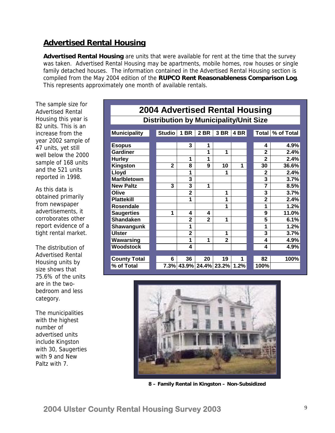# **Advertised Rental Housing**

**Advertised Rental Housing** are units that were available for rent at the time that the survey was taken. Advertised Rental Housing may be apartments, mobile homes, row houses or single family detached houses. The information contained in the Advertised Rental Housing section is compiled from the May 2004 edition of the **RUPCO Rent Reasonableness Comparison Log**. This represents approximately one month of available rentals.

The sample size for Advertised Rental Housing this year is 82 units. This is an increase from the year 2002 sample of 47 units, yet still well below the 2000 sample of 168 units and the 521 units reported in 1998.

As this data is obtained primarily from newspaper advertisements, it corroborates other report evidence of a tight rental market.

The distribution of Advertised Rental Housing units by size shows that 75.6% of the units are in the twobedroom and less category.

The municipalities with the highest number of advertised units include Kingston with 30, Saugerties with 9 and New Paltz with 7.

| 2004 Advertised Rental Housing                |  |               |                |                             |                |      |  |                |            |  |  |  |
|-----------------------------------------------|--|---------------|----------------|-----------------------------|----------------|------|--|----------------|------------|--|--|--|
| <b>Distribution by Municipality/Unit Size</b> |  |               |                |                             |                |      |  |                |            |  |  |  |
| <b>Municipality</b>                           |  | <b>Studio</b> | 1 BR           | 2 BR                        | 3 BR           | 4 BR |  | <b>Total</b>   | % of Total |  |  |  |
|                                               |  |               |                |                             |                |      |  |                |            |  |  |  |
| <b>Esopus</b>                                 |  |               | 3              | 1                           |                |      |  | 4              | 4.9%       |  |  |  |
| <b>Gardiner</b>                               |  |               |                | 1                           | 1              |      |  | $\overline{2}$ | 2.4%       |  |  |  |
| <b>Hurley</b>                                 |  |               | 1              | 1                           |                |      |  | $\mathbf{2}$   | 2.4%       |  |  |  |
| <b>Kingston</b>                               |  | $\mathbf{2}$  | 8              | 9                           | 10             | 1    |  | 30             | 36.6%      |  |  |  |
| Lloyd                                         |  |               | 1              |                             | 1              |      |  | 2              | 2.4%       |  |  |  |
| <b>Maribletown</b>                            |  |               | 3              |                             |                |      |  | 3              | 3.7%       |  |  |  |
| <b>New Paltz</b>                              |  | 3             | 3              | 1                           |                |      |  | 7              | 8.5%       |  |  |  |
| Olive                                         |  |               | $\overline{2}$ |                             | 1              |      |  | 3              | 3.7%       |  |  |  |
| <b>Plattekill</b>                             |  |               | 1              |                             | 1              |      |  | $\overline{2}$ | 2.4%       |  |  |  |
| Rosendale                                     |  |               |                |                             | 1              |      |  | 1              | 1.2%       |  |  |  |
| <b>Saugerties</b>                             |  | 1             | 4              | 4                           |                |      |  | 9              | 11.0%      |  |  |  |
| <b>Shandaken</b>                              |  |               | $\overline{2}$ | $\overline{2}$              | 1              |      |  | 5              | 6.1%       |  |  |  |
| <b>Shawangunk</b>                             |  |               | 1              |                             |                |      |  | 1              | 1.2%       |  |  |  |
| <b>Ulster</b>                                 |  |               | $\overline{2}$ |                             | 1              |      |  | 3              | 3.7%       |  |  |  |
| Wawarsing                                     |  |               | 1              | 1                           | $\overline{2}$ |      |  | 4              | 4.9%       |  |  |  |
| <b>Woodstock</b>                              |  |               | 4              |                             |                |      |  | 4              | 4.9%       |  |  |  |
|                                               |  |               |                |                             |                |      |  |                |            |  |  |  |
| <b>County Total</b>                           |  | 6             | 36             | 20                          | 19             |      |  | 82             | 100%       |  |  |  |
| % of Total                                    |  |               |                | 7.3% 43.9% 24.4% 23.2% 1.2% |                |      |  | 100%           |            |  |  |  |



 **8 – Family Rental in Kingston – Non-Subsidized**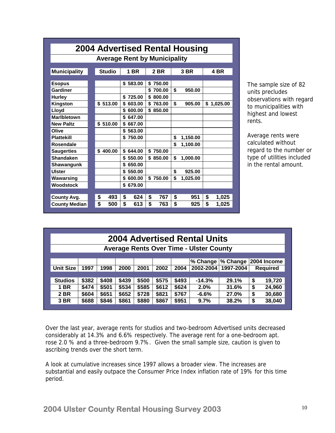| 2004 Advertised Rental Housing |    |               |              |  |                                     |    |          |    |          |  |  |  |
|--------------------------------|----|---------------|--------------|--|-------------------------------------|----|----------|----|----------|--|--|--|
|                                |    |               |              |  | <b>Average Rent by Municipality</b> |    |          |    |          |  |  |  |
|                                |    |               |              |  |                                     |    |          |    |          |  |  |  |
| <b>Municipality</b>            |    | <b>Studio</b> | 1 BR         |  | 2 BR                                |    | 3 BR     |    | 4 BR     |  |  |  |
| <b>Esopus</b>                  |    |               | \$583.00     |  | \$<br>750.00                        |    |          |    |          |  |  |  |
| Gardiner                       |    |               |              |  | \$<br>700.00                        | \$ | 950.00   |    |          |  |  |  |
| <b>Hurley</b>                  |    |               | \$<br>725.00 |  | \$<br>800.00                        |    |          |    |          |  |  |  |
| Kingston                       |    | \$513.00      | \$<br>603.00 |  | \$763.00                            | \$ | 905.00   | \$ | 1,025.00 |  |  |  |
| Lloyd                          |    |               | \$<br>600.00 |  | \$850.00                            |    |          |    |          |  |  |  |
| <b>Maribletown</b>             |    |               | 647.00<br>\$ |  |                                     |    |          |    |          |  |  |  |
| <b>New Paltz</b>               |    | \$510.00      | \$<br>667.00 |  |                                     |    |          |    |          |  |  |  |
| Olive                          |    |               | \$<br>563.00 |  |                                     |    |          |    |          |  |  |  |
| <b>Plattekill</b>              |    |               | \$750.00     |  |                                     | \$ | 1,150.00 |    |          |  |  |  |
| Rosendale                      |    |               |              |  |                                     | \$ | 1,100.00 |    |          |  |  |  |
| <b>Saugerties</b>              |    | \$400.00      | \$644.00     |  | \$<br>750.00                        |    |          |    |          |  |  |  |
| <b>Shandaken</b>               |    |               | \$550.00     |  | \$850.00                            | \$ | 1,000.00 |    |          |  |  |  |
| Shawangunk                     |    |               | 650.00<br>\$ |  |                                     |    |          |    |          |  |  |  |
| <b>Ulster</b>                  |    |               | 550.00<br>\$ |  |                                     | \$ | 925.00   |    |          |  |  |  |
| Wawarsing                      |    |               | 600.00<br>\$ |  | \$750.00                            | \$ | 1,025.00 |    |          |  |  |  |
| Woodstock                      |    |               | \$679.00     |  |                                     |    |          |    |          |  |  |  |
|                                |    |               |              |  |                                     |    |          |    |          |  |  |  |
| <b>County Avg.</b>             | \$ | 493           | \$<br>624    |  | \$<br>767                           | \$ | 951      | \$ | 1,025    |  |  |  |
| <b>County Median</b>           | \$ | 500           | \$<br>613    |  | \$<br>763                           | \$ | 925      | \$ | 1,025    |  |  |  |

The sample size of 82 units precludes observations with regard to municipalities with highest and lowest rents.

Average rents were calculated without regard to the number or type of utilities included in the rental amount.

| <b>2004 Advertised Rental Units</b>                                                         |                                                                                           |       |       |       |       |       |          |       |    |        |  |  |  |
|---------------------------------------------------------------------------------------------|-------------------------------------------------------------------------------------------|-------|-------|-------|-------|-------|----------|-------|----|--------|--|--|--|
| <b>Average Rents Over Time - Ulster County</b>                                              |                                                                                           |       |       |       |       |       |          |       |    |        |  |  |  |
|                                                                                             |                                                                                           |       |       |       |       |       |          |       |    |        |  |  |  |
| % Change  % Change   2004 Income                                                            |                                                                                           |       |       |       |       |       |          |       |    |        |  |  |  |
| <b>Unit Size</b>                                                                            | 2001<br>2002-2004<br>1997<br>1998<br>2000<br>2002<br>2004<br>1997-2004<br><b>Required</b> |       |       |       |       |       |          |       |    |        |  |  |  |
|                                                                                             |                                                                                           |       |       |       |       |       |          |       |    |        |  |  |  |
| <b>Studios</b>                                                                              | \$382                                                                                     | \$408 | \$439 | \$500 | \$575 | \$493 | $-14.3%$ | 29.1% | \$ | 19,720 |  |  |  |
| <b>1 BR</b>                                                                                 | \$474                                                                                     | \$501 | \$534 | \$585 | \$612 | \$624 | 2.0%     | 31.6% | \$ | 24,960 |  |  |  |
| <b>2 BR</b>                                                                                 | \$604                                                                                     | \$651 | \$652 | \$728 | \$821 | \$767 | $-6.6%$  | 27.0% | \$ | 30,680 |  |  |  |
| \$688<br>\$846<br>\$861<br>\$880<br>\$867<br>\$951<br>9.7%<br>\$<br>38,040<br>3 BR<br>38.2% |                                                                                           |       |       |       |       |       |          |       |    |        |  |  |  |

Over the last year, average rents for studios and two-bedroom Advertised units decreased considerably at 14.3% and 6.6% respectively. The average rent for a one-bedroom apt. rose 2.0 % and a three-bedroom 9.7%. Given the small sample size, caution is given to ascribing trends over the short term.

A look at cumulative increases since 1997 allows a broader view. The increases are substantial and easily outpace the Consumer Price Index inflation rate of 19% for this time period.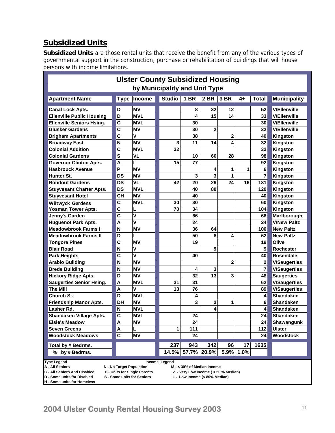# **Subsidized Units**

**Subsidized Units** are those rental units that receive the benefit from any of the various types of governmental support in the construction, purchase or rehabilitation of buildings that will house persons with income limitations.

| <b>Ulster County Subsidized Housing</b>                                                           |                                        |                                                            |                               |                                                                       |                |                 |      |                |                     |  |  |  |  |
|---------------------------------------------------------------------------------------------------|----------------------------------------|------------------------------------------------------------|-------------------------------|-----------------------------------------------------------------------|----------------|-----------------|------|----------------|---------------------|--|--|--|--|
|                                                                                                   |                                        |                                                            | by Municipality and Unit Type |                                                                       |                |                 |      |                |                     |  |  |  |  |
| <b>Apartment Name</b>                                                                             | <b>Type</b>                            | Income                                                     | <b>Studio</b>                 | 1 BR                                                                  | $2$ BR         | 3 <sub>BR</sub> | 4+   | Total          | <b>Municipality</b> |  |  |  |  |
| <b>Canal Lock Apts.</b>                                                                           | D                                      | <b>MV</b>                                                  |                               | 8                                                                     | 32             | 12              |      | 52             | <b>V/Ellenville</b> |  |  |  |  |
| <b>Ellenville Public Housing</b>                                                                  | D                                      | <b>MVL</b>                                                 |                               | 4                                                                     | 15             | 14              |      | 33             | <b>V/Ellenville</b> |  |  |  |  |
| <b>Ellenville Seniors Hsing.</b>                                                                  | $\mathbf c$                            | <b>MVL</b>                                                 |                               | 30                                                                    |                |                 |      | 30             | <b>V/Ellenville</b> |  |  |  |  |
| <b>Glusker Gardens</b>                                                                            | $\overline{c}$                         | MV                                                         |                               | 30                                                                    | $\overline{2}$ |                 |      | 32             | <b>V/Ellenville</b> |  |  |  |  |
| <b>Brigham Apartments</b>                                                                         | C                                      | $\mathbf v$                                                |                               | 38                                                                    |                | 2               |      | 40             | Kingston            |  |  |  |  |
| <b>Broadway East</b>                                                                              | N                                      | MV                                                         | 3                             | 11                                                                    | 14             | 4               |      | 32             | Kingston            |  |  |  |  |
| <b>Colonial Addition</b>                                                                          | C                                      | <b>MVL</b>                                                 | 32                            |                                                                       |                |                 |      | 32             | Kingston            |  |  |  |  |
| <b>Colonial Gardens</b>                                                                           | S<br><b>VL</b><br>10<br>60<br>28<br>98 |                                                            |                               |                                                                       |                |                 |      |                |                     |  |  |  |  |
| <b>Governor Clinton Apts.</b>                                                                     | Kingston                               |                                                            |                               |                                                                       |                |                 |      |                |                     |  |  |  |  |
| P<br>MV<br>6<br><b>Hasbrouck Avenue</b><br>1<br>1<br>4<br>Kingston                                |                                        |                                                            |                               |                                                                       |                |                 |      |                |                     |  |  |  |  |
| 3<br>$\overline{7}$<br>Hunter St.<br><b>DS</b><br>1<br><b>MV</b><br>3<br>Kingston                 |                                        |                                                            |                               |                                                                       |                |                 |      |                |                     |  |  |  |  |
| <b>DS</b><br><b>VL</b><br>42<br>29<br>24<br>20<br>16<br>131<br>Kingston<br><b>Rondout Gardens</b> |                                        |                                                            |                               |                                                                       |                |                 |      |                |                     |  |  |  |  |
| <b>DS</b><br><b>MVL</b><br>80<br>120<br>Kingston<br><b>Stuyvesant Charter Apts.</b><br>40         |                                        |                                                            |                               |                                                                       |                |                 |      |                |                     |  |  |  |  |
| <b>Stuyvesant Hotel</b>                                                                           | <b>CH</b>                              | ΜV                                                         |                               | 40                                                                    |                |                 |      | 40             | Kingston            |  |  |  |  |
| <b>Wiltwyck Gardens</b>                                                                           | $\mathbf c$                            | <b>MVL</b>                                                 | 30                            | 30                                                                    |                |                 |      | 60             | Kingston            |  |  |  |  |
| <b>Yosman Tower Apts.</b>                                                                         | $\mathbf c$                            | L                                                          | 70                            | 34                                                                    |                |                 |      | 104            | Kingston            |  |  |  |  |
| Jenny's Garden                                                                                    | $\overline{\mathbf{c}}$                | V                                                          |                               | 66                                                                    |                |                 |      | 66             | Marlborough         |  |  |  |  |
| <b>Huguenot Park Apts.</b>                                                                        | A                                      | $\mathsf{V}$                                               |                               | 24                                                                    |                |                 |      | 24             | <b>V/New Paltz</b>  |  |  |  |  |
| <b>Meadowbrook Farms I</b>                                                                        | N                                      | <b>MV</b>                                                  |                               | 36                                                                    | 64             |                 |      | 100            | <b>New Paltz</b>    |  |  |  |  |
| <b>Meadowbrook Farms II</b>                                                                       | D                                      | L                                                          |                               | 50                                                                    | 8              | 4               |      | 62             | <b>New Paltz</b>    |  |  |  |  |
| <b>Tongore Pines</b>                                                                              | $\mathbf c$                            | <b>MV</b>                                                  |                               | 19                                                                    |                |                 |      | 19             | Olive               |  |  |  |  |
| <b>Blair Road</b>                                                                                 | N                                      | $\mathsf{V}$                                               |                               |                                                                       | 9              |                 |      | 9              | Rochester           |  |  |  |  |
| <b>Park Heights</b>                                                                               | $\overline{\mathbf{c}}$                | $\overline{\mathsf{v}}$                                    |                               | 40                                                                    |                |                 |      | 40             | <b>Rosendale</b>    |  |  |  |  |
| <b>Arabio Building</b>                                                                            | N                                      | <b>MV</b>                                                  |                               |                                                                       |                | 2               |      | $\mathbf 2$    | <b>V/Saugerties</b> |  |  |  |  |
| <b>Brede Building</b>                                                                             | N                                      | <b>MV</b>                                                  |                               | 4                                                                     | 3              |                 |      | $\overline{7}$ | <b>V/Saugerties</b> |  |  |  |  |
| <b>Hickory Ridge Apts.</b>                                                                        | D                                      | <b>MV</b>                                                  |                               | 32                                                                    | 13             | 3               |      | 48             | <b>Saugerties</b>   |  |  |  |  |
| <b>Saugerties Senior Hsing.</b>                                                                   | A                                      | <b>MVL</b>                                                 | 31                            | 31                                                                    |                |                 |      | 62             | <b>V/Saugerties</b> |  |  |  |  |
| <b>The Mill</b>                                                                                   | A                                      | $\mathsf{V}$                                               | 13                            | 76                                                                    |                |                 |      | 89             | <b>V/Saugerties</b> |  |  |  |  |
| Church St.                                                                                        | D                                      | <b>MVL</b>                                                 |                               | 4                                                                     |                |                 |      | 4              | <b>Shandaken</b>    |  |  |  |  |
| <b>Friendship Manor Apts.</b>                                                                     | DH                                     | <b>MV</b>                                                  |                               | 3                                                                     | 2              | 1               |      | 6              | Shandaken           |  |  |  |  |
| Lasher Rd.                                                                                        | N                                      | <b>MVL</b>                                                 |                               |                                                                       | 4              |                 |      | 4              | Shandaken           |  |  |  |  |
| Shandaken Village Apts.                                                                           | $\overline{c}$                         | <b>MVL</b>                                                 |                               | 24                                                                    |                |                 |      | 24             | Shandaken           |  |  |  |  |
| <b>Elsie's Meadow</b>                                                                             | A                                      | ΜV                                                         |                               | 24                                                                    |                |                 |      | 24             | Shawangunk          |  |  |  |  |
| <b>Seven Greens</b>                                                                               | A                                      | L                                                          | 1                             | 111                                                                   |                |                 |      | 112            | <b>Ulster</b>       |  |  |  |  |
| <b>Woodstock Meadows</b>                                                                          | $\mathbf c$                            | <b>MV</b>                                                  |                               | 24                                                                    |                |                 |      | 24             | Woodstock           |  |  |  |  |
| Total by # Bedrms.                                                                                | 237<br>943<br>342<br>96<br>17<br>1635  |                                                            |                               |                                                                       |                |                 |      |                |                     |  |  |  |  |
| % by # Bedrms.                                                                                    |                                        |                                                            | 14.5%                         | 57.7%                                                                 | 20.9%          | 5.9%            | 1.0% |                |                     |  |  |  |  |
| <b>Type Legend</b>                                                                                |                                        |                                                            | Income Legend                 |                                                                       |                |                 |      |                |                     |  |  |  |  |
| A - All Seniors                                                                                   | N - No Target Population               |                                                            |                               | M - < 30% of Median Income                                            |                |                 |      |                |                     |  |  |  |  |
| C - All Seniors And Disabled<br>D - Some units for Disabled                                       |                                        | P - Units for Single Parents<br>S - Some units for Seniors |                               | V - Very Low Income ( < 50 % Median)<br>L - Low Income (< 80% Median) |                |                 |      |                |                     |  |  |  |  |
| H - Some units for Homeless                                                                       |                                        |                                                            |                               |                                                                       |                |                 |      |                |                     |  |  |  |  |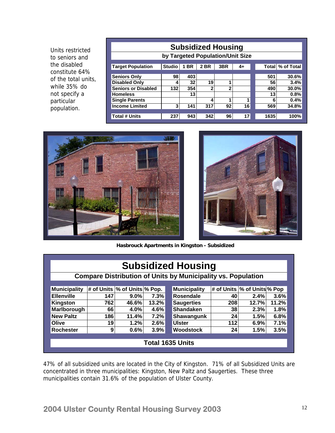Units restricted to seniors and the disabled constitute 64% of the total units, while 35% do not specify a particular population.

| <b>Subsidized Housing</b>        |               |           |      |     |      |      |                  |  |  |  |  |  |
|----------------------------------|---------------|-----------|------|-----|------|------|------------------|--|--|--|--|--|
| by Targeted Population/Unit Size |               |           |      |     |      |      |                  |  |  |  |  |  |
| <b>Target Population</b>         | <b>Studio</b> | <b>BR</b> | 2 BR | 3BR | $4+$ |      | Total % of Total |  |  |  |  |  |
| <b>Seniors Only</b>              | 98            | 403       |      |     |      | 501  | 30.6%            |  |  |  |  |  |
| <b>Disabled Only</b>             | 4             | 32        | 19   | 1   |      | 56   | 3.4%             |  |  |  |  |  |
| <b>Seniors or Disabled</b>       | 132           | 354       | າ    | 2   |      | 490  | 30.0%            |  |  |  |  |  |
| <b>Homeless</b>                  |               | 13        |      |     |      | 13   | 0.8%             |  |  |  |  |  |
| <b>Single Parents</b>            |               |           | 4    | 4   | 1    | 6    | 0.4%             |  |  |  |  |  |
| <b>Income Limited</b>            | 3             | 141       | 317  | 92  | 16   | 569  | 34.8%            |  |  |  |  |  |
| <b>Total # Units</b>             | 237           | 943       | 342  | 96  | 17   | 1635 | 100%             |  |  |  |  |  |





**Hasbrouck Apartments in Kingston - Subsidized** 

| <b>Subsidized Housing</b>                                           |                         |                               |       |  |                     |     |                              |       |  |
|---------------------------------------------------------------------|-------------------------|-------------------------------|-------|--|---------------------|-----|------------------------------|-------|--|
| <b>Compare Distribution of Units by Municipality vs. Population</b> |                         |                               |       |  |                     |     |                              |       |  |
| <b>Municipality</b>                                                 |                         | # of Units  % of Units % Pop. |       |  | <b>Municipality</b> |     | # of Units  % of Units % Pop |       |  |
| <b>Ellenville</b>                                                   | 147                     | $9.0\%$                       | 7.3%  |  | Rosendale           | 40  | 2.4%                         | 3.6%  |  |
| Kingston                                                            | 762                     | 46.6%                         | 13.2% |  | <b>Saugerties</b>   | 208 | 12.7%                        | 11.2% |  |
| Marlborough                                                         | 66                      | 4.0%                          | 4.6%  |  | <b>Shandaken</b>    | 38  | 2.3%                         | 1.8%  |  |
| <b>New Paltz</b>                                                    | 186                     | 11.4%                         | 7.2%  |  | Shawangunk          | 24  | 1.5%                         | 6.8%  |  |
| Olive                                                               | 19                      | 1.2%                          | 2.6%  |  | <b>Ulster</b>       | 112 | 6.9%                         | 7.1%  |  |
| <b>Rochester</b>                                                    | 9                       | 0.6%                          | 3.9%  |  | <b>Woodstock</b>    | 24  | 1.5%                         | 3.5%  |  |
|                                                                     |                         |                               |       |  |                     |     |                              |       |  |
|                                                                     | <b>Total 1635 Units</b> |                               |       |  |                     |     |                              |       |  |
|                                                                     |                         |                               |       |  |                     |     |                              |       |  |

47% of all subsidized units are located in the City of Kingston. 71% of all Subsidized Units are concentrated in three municipalities: Kingston, New Paltz and Saugerties. These three municipalities contain 31.6% of the population of Ulster County.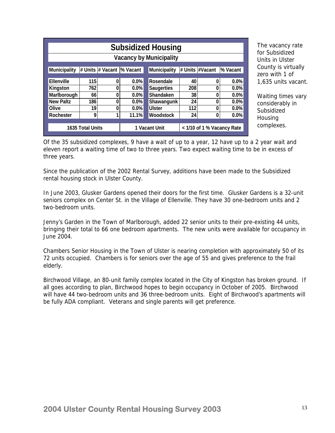| <b>Subsidized Housing</b>      |     |   |               |  |                     |                            |                 |          |  |
|--------------------------------|-----|---|---------------|--|---------------------|----------------------------|-----------------|----------|--|
| <b>Vacancy by Municipality</b> |     |   |               |  |                     |                            |                 |          |  |
| <b>Municipality</b>            |     |   |               |  | <b>Municipality</b> |                            | # Units #Vacant | % Vacant |  |
| <b>Ellenville</b>              | 115 | 0 | 0.0%          |  | Rosendale           | 40                         | 0               | $0.0\%$  |  |
| Kingston                       | 762 | 0 | $0.0\%$       |  | <b>Saugerties</b>   | 208                        |                 | $0.0\%$  |  |
| Marlborough                    | 66  | 0 | $0.0\%$       |  | <b>Shandaken</b>    | 38                         |                 | $0.0\%$  |  |
| <b>New Paltz</b>               | 186 | 0 | 0.0%          |  | Shawangunk          | 24                         |                 | $0.0\%$  |  |
| Olive                          | 19  | 0 | 0.0%          |  | <b>Ulster</b>       | 112                        |                 | $0.0\%$  |  |
| <b>Rochester</b>               | 9   | 1 | 11.1%         |  | Woodstock           | 24                         | 0               | 0.0%     |  |
| <b>1635 Total Units</b>        |     |   | 1 Vacant Unit |  |                     | < 1/10 of 1 % Vacancy Rate |                 |          |  |

The vacancy rate for Subsidized Units in Ulster County is virtually zero with 1 of 1,635 units vacant.

Waiting times vary considerably in Subsidized Housing complexes.

Of the 35 subsidized complexes, 9 have a wait of up to a year, 12 have up to a 2 year wait and eleven report a waiting time of two to three years. Two expect waiting time to be in excess of three years.

Since the publication of the 2002 Rental Survey, additions have been made to the Subsidized rental housing stock in Ulster County.

In June 2003, Glusker Gardens opened their doors for the first time. Glusker Gardens is a 32-unit seniors complex on Center St. in the Village of Ellenville. They have 30 one-bedroom units and 2 two-bedroom units.

Jenny's Garden in the Town of Marlborough, added 22 senior units to their pre-existing 44 units, bringing their total to 66 one bedroom apartments. The new units were available for occupancy in June 2004.

Chambers Senior Housing in the Town of Ulster is nearing completion with approximately 50 of its 72 units occupied. Chambers is for seniors over the age of 55 and gives preference to the frail elderly.

Birchwood Village, an 80-unit family complex located in the City of Kingston has broken ground. If all goes according to plan, Birchwood hopes to begin occupancy in October of 2005. Birchwood will have 44 two-bedroom units and 36 three-bedroom units. Eight of Birchwood's apartments will be fully ADA compliant. Veterans and single parents will get preference.